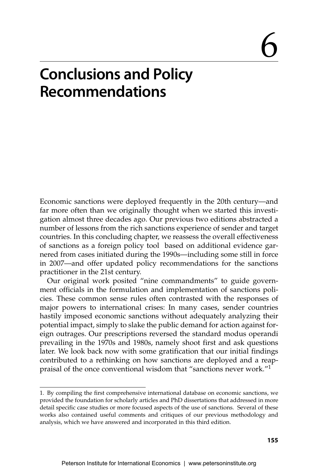# 6

# **Conclusions and Policy Recommendations**

Economic sanctions were deployed frequently in the 20th century—and far more often than we originally thought when we started this investigation almost three decades ago. Our previous two editions abstracted a number of lessons from the rich sanctions experience of sender and target countries. In this concluding chapter, we reassess the overall effectiveness of sanctions as a foreign policy tool based on additional evidence garnered from cases initiated during the 1990s—including some still in force in 2007—and offer updated policy recommendations for the sanctions practitioner in the 21st century.

Our original work posited "nine commandments" to guide government officials in the formulation and implementation of sanctions policies. These common sense rules often contrasted with the responses of major powers to international crises: In many cases, sender countries hastily imposed economic sanctions without adequately analyzing their potential impact, simply to slake the public demand for action against foreign outrages. Our prescriptions reversed the standard modus operandi prevailing in the 1970s and 1980s, namely shoot first and ask questions later. We look back now with some gratification that our initial findings contributed to a rethinking on how sanctions are deployed and a reappraisal of the once conventional wisdom that "sanctions never work."1

<sup>1.</sup> By compiling the first comprehensive international database on economic sanctions, we provided the foundation for scholarly articles and PhD dissertations that addressed in more detail specific case studies or more focused aspects of the use of sanctions. Several of these works also contained useful comments and critiques of our previous methodology and analysis, which we have answered and incorporated in this third edition.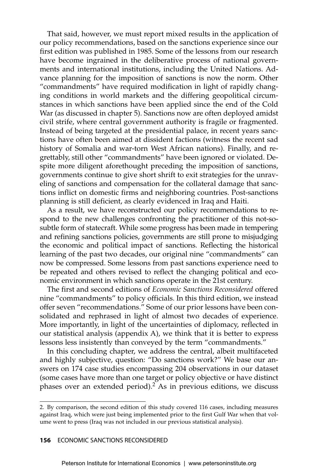That said, however, we must report mixed results in the application of our policy recommendations, based on the sanctions experience since our first edition was published in 1985. Some of the lessons from our research have become ingrained in the deliberative process of national governments and international institutions, including the United Nations. Advance planning for the imposition of sanctions is now the norm. Other "commandments" have required modification in light of rapidly changing conditions in world markets and the differing geopolitical circumstances in which sanctions have been applied since the end of the Cold War (as discussed in chapter 5). Sanctions now are often deployed amidst civil strife, where central government authority is fragile or fragmented. Instead of being targeted at the presidential palace, in recent years sanctions have often been aimed at dissident factions (witness the recent sad history of Somalia and war-torn West African nations). Finally, and regrettably, still other "commandments" have been ignored or violated. Despite more diligent aforethought preceding the imposition of sanctions, governments continue to give short shrift to exit strategies for the unraveling of sanctions and compensation for the collateral damage that sanctions inflict on domestic firms and neighboring countries. Post-sanctions planning is still deficient, as clearly evidenced in Iraq and Haiti.

As a result, we have reconstructed our policy recommendations to respond to the new challenges confronting the practitioner of this not-sosubtle form of statecraft. While some progress has been made in tempering and refining sanctions policies, governments are still prone to misjudging the economic and political impact of sanctions. Reflecting the historical learning of the past two decades, our original nine "commandments" can now be compressed. Some lessons from past sanctions experience need to be repeated and others revised to reflect the changing political and economic environment in which sanctions operate in the 21st century.

The first and second editions of *Economic Sanctions Reconsidered* offered nine "commandments" to policy officials. In this third edition, we instead offer seven "recommendations." Some of our prior lessons have been consolidated and rephrased in light of almost two decades of experience. More importantly, in light of the uncertainties of diplomacy, reflected in our statistical analysis (appendix A), we think that it is better to express lessons less insistently than conveyed by the term "commandments."

In this concluding chapter, we address the central, albeit multifaceted and highly subjective, question: "Do sanctions work?" We base our answers on 174 case studies encompassing 204 observations in our dataset (some cases have more than one target or policy objective or have distinct phases over an extended period).<sup>2</sup> As in previous editions, we discuss

<sup>2.</sup> By comparison, the second edition of this study covered 116 cases, including measures against Iraq, which were just being implemented prior to the first Gulf War when that volume went to press (Iraq was not included in our previous statistical analysis).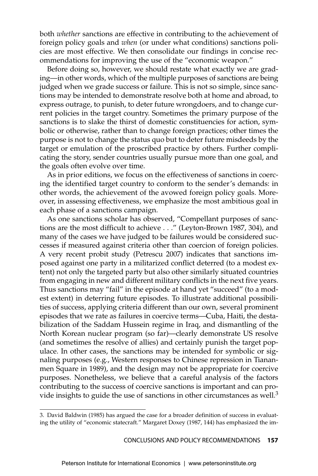both *whether* sanctions are effective in contributing to the achievement of foreign policy goals and *when* (or under what conditions) sanctions policies are most effective. We then consolidate our findings in concise recommendations for improving the use of the "economic weapon."

Before doing so, however, we should restate what exactly we are grading—in other words, which of the multiple purposes of sanctions are being judged when we grade success or failure. This is not so simple, since sanctions may be intended to demonstrate resolve both at home and abroad, to express outrage, to punish, to deter future wrongdoers, and to change current policies in the target country. Sometimes the primary purpose of the sanctions is to slake the thirst of domestic constituencies for action, symbolic or otherwise, rather than to change foreign practices; other times the purpose is not to change the status quo but to deter future misdeeds by the target or emulation of the proscribed practice by others. Further complicating the story, sender countries usually pursue more than one goal, and the goals often evolve over time.

As in prior editions, we focus on the effectiveness of sanctions in coercing the identified target country to conform to the sender's demands: in other words, the achievement of the avowed foreign policy goals. Moreover, in assessing effectiveness, we emphasize the most ambitious goal in each phase of a sanctions campaign.

As one sanctions scholar has observed, "Compellant purposes of sanctions are the most difficult to achieve . . ." (Leyton-Brown 1987, 304), and many of the cases we have judged to be failures would be considered successes if measured against criteria other than coercion of foreign policies. A very recent probit study (Petrescu 2007) indicates that sanctions imposed against one party in a militarized conflict deterred (to a modest extent) not only the targeted party but also other similarly situated countries from engaging in new and different military conflicts in the next five years. Thus sanctions may "fail" in the episode at hand yet "succeed" (to a modest extent) in deterring future episodes. To illustrate additional possibilities of success, applying criteria different than our own, several prominent episodes that we rate as failures in coercive terms—Cuba, Haiti, the destabilization of the Saddam Hussein regime in Iraq, and dismantling of the North Korean nuclear program (so far)—clearly demonstrate US resolve (and sometimes the resolve of allies) and certainly punish the target populace. In other cases, the sanctions may be intended for symbolic or signaling purposes (e.g., Western responses to Chinese repression in Tiananmen Square in 1989), and the design may not be appropriate for coercive purposes. Nonetheless, we believe that a careful analysis of the factors contributing to the success of coercive sanctions is important and can provide insights to guide the use of sanctions in other circumstances as well.<sup>3</sup>

<sup>3.</sup> David Baldwin (1985) has argued the case for a broader definition of success in evaluating the utility of "economic statecraft." Margaret Doxey (1987, 144) has emphasized the im-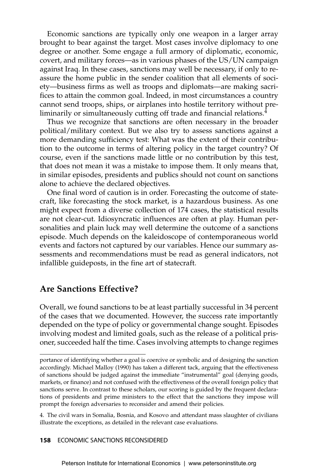Economic sanctions are typically only one weapon in a larger array brought to bear against the target. Most cases involve diplomacy to one degree or another. Some engage a full armory of diplomatic, economic, covert, and military forces—as in various phases of the US/UN campaign against Iraq. In these cases, sanctions may well be necessary, if only to reassure the home public in the sender coalition that all elements of society—business firms as well as troops and diplomats—are making sacrifices to attain the common goal. Indeed, in most circumstances a country cannot send troops, ships, or airplanes into hostile territory without preliminarily or simultaneously cutting off trade and financial relations.<sup>4</sup>

Thus we recognize that sanctions are often necessary in the broader political/military context. But we also try to assess sanctions against a more demanding sufficiency test: What was the extent of their contribution to the outcome in terms of altering policy in the target country? Of course, even if the sanctions made little or no contribution by this test, that does not mean it was a mistake to impose them. It only means that, in similar episodes, presidents and publics should not count on sanctions alone to achieve the declared objectives.

One final word of caution is in order. Forecasting the outcome of statecraft, like forecasting the stock market, is a hazardous business. As one might expect from a diverse collection of 174 cases, the statistical results are not clear-cut. Idiosyncratic influences are often at play. Human personalities and plain luck may well determine the outcome of a sanctions episode. Much depends on the kaleidoscope of contemporaneous world events and factors not captured by our variables. Hence our summary assessments and recommendations must be read as general indicators, not infallible guideposts, in the fine art of statecraft.

# **Are Sanctions Effective?**

Overall, we found sanctions to be at least partially successful in 34 percent of the cases that we documented. However, the success rate importantly depended on the type of policy or governmental change sought. Episodes involving modest and limited goals, such as the release of a political prisoner, succeeded half the time. Cases involving attempts to change regimes

portance of identifying whether a goal is coercive or symbolic and of designing the sanction accordingly. Michael Malloy (1990) has taken a different tack, arguing that the effectiveness of sanctions should be judged against the immediate "instrumental" goal (denying goods, markets, or finance) and not confused with the effectiveness of the overall foreign policy that sanctions serve. In contrast to these scholars, our scoring is guided by the frequent declarations of presidents and prime ministers to the effect that the sanctions they impose will prompt the foreign adversaries to reconsider and amend their policies.

<sup>4.</sup> The civil wars in Somalia, Bosnia, and Kosovo and attendant mass slaughter of civilians illustrate the exceptions, as detailed in the relevant case evaluations.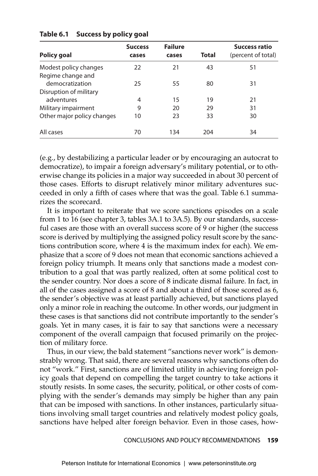| Policy goal                | <b>Success</b><br>cases | <b>Failure</b><br>cases | Total | <b>Success ratio</b><br>(percent of total) |
|----------------------------|-------------------------|-------------------------|-------|--------------------------------------------|
| Modest policy changes      | 22                      | 21                      | 43    | 51                                         |
| Regime change and          |                         |                         |       |                                            |
| democratization            | 25                      | 55                      | 80    | 31                                         |
| Disruption of military     |                         |                         |       |                                            |
| adventures                 | 4                       | 15                      | 19    | 21                                         |
| Military impairment        | 9                       | 20                      | 29    | 31                                         |
| Other major policy changes | 10                      | 23                      | 33    | 30                                         |
| All cases                  | 70                      | 134                     | 204   | 34                                         |

#### **Table 6.1 Success by policy goal**

(e.g., by destabilizing a particular leader or by encouraging an autocrat to democratize), to impair a foreign adversary's military potential, or to otherwise change its policies in a major way succeeded in about 30 percent of those cases. Efforts to disrupt relatively minor military adventures succeeded in only a fifth of cases where that was the goal. Table 6.1 summarizes the scorecard.

It is important to reiterate that we score sanctions episodes on a scale from 1 to 16 (see chapter 3, tables 3A.1 to 3A.5). By our standards, successful cases are those with an overall success score of 9 or higher (the success score is derived by multiplying the assigned policy result score by the sanctions contribution score, where 4 is the maximum index for each). We emphasize that a score of 9 does not mean that economic sanctions achieved a foreign policy triumph. It means only that sanctions made a modest contribution to a goal that was partly realized, often at some political cost to the sender country. Nor does a score of 8 indicate dismal failure. In fact, in all of the cases assigned a score of 8 and about a third of those scored as 6, the sender's objective was at least partially achieved, but sanctions played only a minor role in reaching the outcome. In other words, our judgment in these cases is that sanctions did not contribute importantly to the sender's goals. Yet in many cases, it is fair to say that sanctions were a necessary component of the overall campaign that focused primarily on the projection of military force.

Thus, in our view, the bald statement "sanctions never work" is demonstrably wrong. That said, there are several reasons why sanctions often do not "work." First, sanctions are of limited utility in achieving foreign policy goals that depend on compelling the target country to take actions it stoutly resists. In some cases, the security, political, or other costs of complying with the sender's demands may simply be higher than any pain that can be imposed with sanctions. In other instances, particularly situations involving small target countries and relatively modest policy goals, sanctions have helped alter foreign behavior. Even in those cases, how-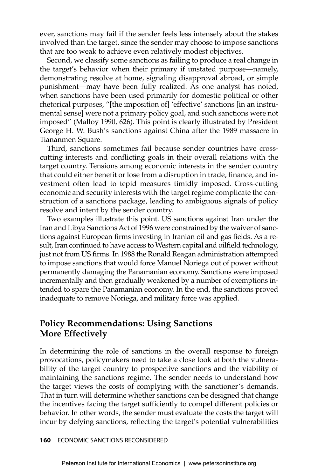ever, sanctions may fail if the sender feels less intensely about the stakes involved than the target, since the sender may choose to impose sanctions that are too weak to achieve even relatively modest objectives.

Second, we classify some sanctions as failing to produce a real change in the target's behavior when their primary if unstated purpose—namely, demonstrating resolve at home, signaling disapproval abroad, or simple punishment—may have been fully realized. As one analyst has noted, when sanctions have been used primarily for domestic political or other rhetorical purposes, "[the imposition of] 'effective' sanctions [in an instrumental sense] were not a primary policy goal, and such sanctions were not imposed" (Malloy 1990, 626). This point is clearly illustrated by President George H. W. Bush's sanctions against China after the 1989 massacre in Tiananmen Square.

Third, sanctions sometimes fail because sender countries have crosscutting interests and conflicting goals in their overall relations with the target country. Tensions among economic interests in the sender country that could either benefit or lose from a disruption in trade, finance, and investment often lead to tepid measures timidly imposed. Cross-cutting economic and security interests with the target regime complicate the construction of a sanctions package, leading to ambiguous signals of policy resolve and intent by the sender country.

Two examples illustrate this point. US sanctions against Iran under the Iran and Libya Sanctions Act of 1996 were constrained by the waiver of sanctions against European firms investing in Iranian oil and gas fields. As a result, Iran continued to have access to Western capital and oilfield technology, just not from US firms. In 1988 the Ronald Reagan administration attempted to impose sanctions that would force Manuel Noriega out of power without permanently damaging the Panamanian economy. Sanctions were imposed incrementally and then gradually weakened by a number of exemptions intended to spare the Panamanian economy. In the end, the sanctions proved inadequate to remove Noriega, and military force was applied.

# **Policy Recommendations: Using Sanctions More Effectively**

In determining the role of sanctions in the overall response to foreign provocations, policymakers need to take a close look at both the vulnerability of the target country to prospective sanctions and the viability of maintaining the sanctions regime. The sender needs to understand how the target views the costs of complying with the sanctioner's demands. That in turn will determine whether sanctions can be designed that change the incentives facing the target sufficiently to compel different policies or behavior. In other words, the sender must evaluate the costs the target will incur by defying sanctions, reflecting the target's potential vulnerabilities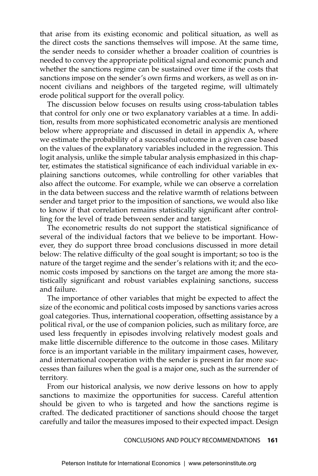that arise from its existing economic and political situation, as well as the direct costs the sanctions themselves will impose. At the same time, the sender needs to consider whether a broader coalition of countries is needed to convey the appropriate political signal and economic punch and whether the sanctions regime can be sustained over time if the costs that sanctions impose on the sender's own firms and workers, as well as on innocent civilians and neighbors of the targeted regime, will ultimately erode political support for the overall policy.

The discussion below focuses on results using cross-tabulation tables that control for only one or two explanatory variables at a time. In addition, results from more sophisticated econometric analysis are mentioned below where appropriate and discussed in detail in appendix A, where we estimate the probability of a successful outcome in a given case based on the values of the explanatory variables included in the regression. This logit analysis, unlike the simple tabular analysis emphasized in this chapter, estimates the statistical significance of each individual variable in explaining sanctions outcomes, while controlling for other variables that also affect the outcome. For example, while we can observe a correlation in the data between success and the relative warmth of relations between sender and target prior to the imposition of sanctions, we would also like to know if that correlation remains statistically significant after controlling for the level of trade between sender and target.

The econometric results do not support the statistical significance of several of the individual factors that we believe to be important. However, they do support three broad conclusions discussed in more detail below: The relative difficulty of the goal sought is important; so too is the nature of the target regime and the sender's relations with it; and the economic costs imposed by sanctions on the target are among the more statistically significant and robust variables explaining sanctions, success and failure.

The importance of other variables that might be expected to affect the size of the economic and political costs imposed by sanctions varies across goal categories. Thus, international cooperation, offsetting assistance by a political rival, or the use of companion policies, such as military force, are used less frequently in episodes involving relatively modest goals and make little discernible difference to the outcome in those cases. Military force is an important variable in the military impairment cases, however, and international cooperation with the sender is present in far more successes than failures when the goal is a major one, such as the surrender of territory.

From our historical analysis, we now derive lessons on how to apply sanctions to maximize the opportunities for success. Careful attention should be given to who is targeted and how the sanctions regime is crafted. The dedicated practitioner of sanctions should choose the target carefully and tailor the measures imposed to their expected impact. Design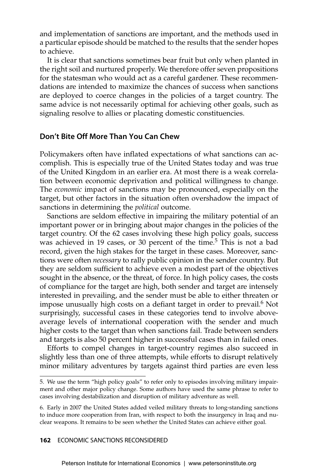and implementation of sanctions are important, and the methods used in a particular episode should be matched to the results that the sender hopes to achieve.

It is clear that sanctions sometimes bear fruit but only when planted in the right soil and nurtured properly. We therefore offer seven propositions for the statesman who would act as a careful gardener. These recommendations are intended to maximize the chances of success when sanctions are deployed to coerce changes in the policies of a target country. The same advice is not necessarily optimal for achieving other goals, such as signaling resolve to allies or placating domestic constituencies.

# **Don't Bite Off More Than You Can Chew**

Policymakers often have inflated expectations of what sanctions can accomplish. This is especially true of the United States today and was true of the United Kingdom in an earlier era. At most there is a weak correlation between economic deprivation and political willingness to change. The *economic* impact of sanctions may be pronounced, especially on the target, but other factors in the situation often overshadow the impact of sanctions in determining the *political* outcome.

Sanctions are seldom effective in impairing the military potential of an important power or in bringing about major changes in the policies of the target country. Of the 62 cases involving these high policy goals, success was achieved in 19 cases, or 30 percent of the time.<sup>5</sup> This is not a bad record, given the high stakes for the target in these cases. Moreover, sanctions were often *necessary* to rally public opinion in the sender country. But they are seldom sufficient to achieve even a modest part of the objectives sought in the absence, or the threat, of force. In high policy cases, the costs of compliance for the target are high, both sender and target are intensely interested in prevailing, and the sender must be able to either threaten or impose unusually high costs on a defiant target in order to prevail.<sup>6</sup> Not surprisingly, successful cases in these categories tend to involve aboveaverage levels of international cooperation with the sender and much higher costs to the target than when sanctions fail. Trade between senders and targets is also 50 percent higher in successful cases than in failed ones.

Efforts to compel changes in target-country regimes also succeed in slightly less than one of three attempts, while efforts to disrupt relatively minor military adventures by targets against third parties are even less

<sup>5.</sup> We use the term "high policy goals" to refer only to episodes involving military impairment and other major policy change. Some authors have used the same phrase to refer to cases involving destabilization and disruption of military adventure as well.

<sup>6.</sup> Early in 2007 the United States added veiled military threats to long-standing sanctions to induce more cooperation from Iran, with respect to both the insurgency in Iraq and nuclear weapons. It remains to be seen whether the United States can achieve either goal.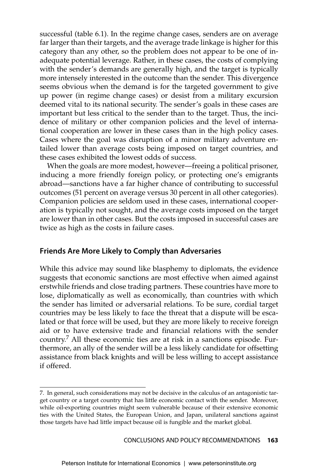successful (table 6.1). In the regime change cases, senders are on average far larger than their targets, and the average trade linkage is higher for this category than any other, so the problem does not appear to be one of inadequate potential leverage. Rather, in these cases, the costs of complying with the sender's demands are generally high, and the target is typically more intensely interested in the outcome than the sender. This divergence seems obvious when the demand is for the targeted government to give up power (in regime change cases) or desist from a military excursion deemed vital to its national security. The sender's goals in these cases are important but less critical to the sender than to the target. Thus, the incidence of military or other companion policies and the level of international cooperation are lower in these cases than in the high policy cases. Cases where the goal was disruption of a minor military adventure entailed lower than average costs being imposed on target countries, and these cases exhibited the lowest odds of success.

When the goals are more modest, however—freeing a political prisoner, inducing a more friendly foreign policy, or protecting one's emigrants abroad—sanctions have a far higher chance of contributing to successful outcomes (51 percent on average versus 30 percent in all other categories). Companion policies are seldom used in these cases, international cooperation is typically not sought, and the average costs imposed on the target are lower than in other cases. But the costs imposed in successful cases are twice as high as the costs in failure cases.

# **Friends Are More Likely to Comply than Adversaries**

While this advice may sound like blasphemy to diplomats, the evidence suggests that economic sanctions are most effective when aimed against erstwhile friends and close trading partners. These countries have more to lose, diplomatically as well as economically, than countries with which the sender has limited or adversarial relations. To be sure, cordial target countries may be less likely to face the threat that a dispute will be escalated or that force will be used, but they are more likely to receive foreign aid or to have extensive trade and financial relations with the sender country.<sup>7</sup> All these economic ties are at risk in a sanctions episode. Furthermore, an ally of the sender will be a less likely candidate for offsetting assistance from black knights and will be less willing to accept assistance if offered.

<sup>7.</sup> In general, such considerations may not be decisive in the calculus of an antagonistic target country or a target country that has little economic contact with the sender. Moreover, while oil-exporting countries might seem vulnerable because of their extensive economic ties with the United States, the European Union, and Japan, unilateral sanctions against those targets have had little impact because oil is fungible and the market global.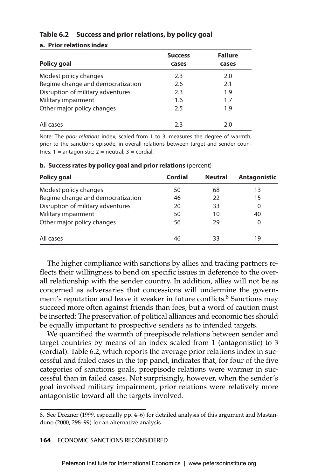|                                   | <b>Success</b> | <b>Failure</b> |
|-----------------------------------|----------------|----------------|
| Policy goal                       | cases          | cases          |
| Modest policy changes             | 2.3            | 2.0            |
| Regime change and democratization | 2.6            | 2.1            |
| Disruption of military adventures | 2.3            | 1.9            |
| Military impairment               | 1.6            | 1.7            |
| Other major policy changes        | 2.5            | 1.9            |
| All cases                         | つろ             | 2 O            |

# **Table 6.2 Success and prior relations, by policy goal**

**a. Prior relations index**

Note: The *prior relations* index, scaled from 1 to 3, measures the degree of warmth, prior to the sanctions episode, in overall relations between target and sender countries.  $1 =$  antagonistic;  $2 =$  neutral;  $3 =$  cordial.

| Policy goal                       | Cordial | <b>Neutral</b> | <b>Antagonistic</b> |
|-----------------------------------|---------|----------------|---------------------|
| Modest policy changes             | 50      | 68             | 13                  |
| Regime change and democratization | 46      | 22             | 15                  |
| Disruption of military adventures | 20      | 33             | 0                   |
| Military impairment               | 50      | 10             | 40                  |
| Other major policy changes        | 56      | 29             | $\Omega$            |
| All cases                         | 46      | 33             | 19                  |

#### **b. Success rates by policy goal and prior relations** (percent)

The higher compliance with sanctions by allies and trading partners reflects their willingness to bend on specific issues in deference to the overall relationship with the sender country. In addition, allies will not be as concerned as adversaries that concessions will undermine the government's reputation and leave it weaker in future conflicts.<sup>8</sup> Sanctions may succeed more often against friends than foes, but a word of caution must be inserted: The preservation of political alliances and economic ties should be equally important to prospective senders as to intended targets.

We quantified the warmth of preepisode relations between sender and target countries by means of an index scaled from 1 (antagonistic) to 3 (cordial). Table 6.2, which reports the average prior relations index in successful and failed cases in the top panel, indicates that, for four of the five categories of sanctions goals, preepisode relations were warmer in successful than in failed cases. Not surprisingly, however, when the sender's goal involved military impairment, prior relations were relatively more antagonistic toward all the targets involved.

<sup>8.</sup> See Drezner (1999, especially pp. 4–6) for detailed analysis of this argument and Mastanduno (2000, 298–99) for an alternative analysis.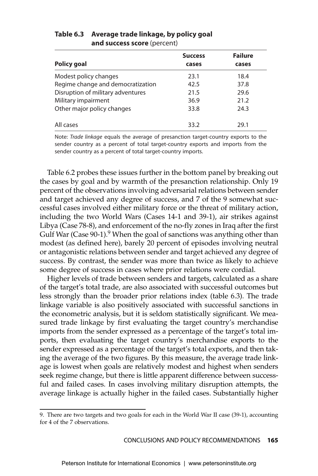|                                   | <b>Success</b> | <b>Failure</b> |
|-----------------------------------|----------------|----------------|
| Policy goal                       | cases          | cases          |
| Modest policy changes             | 23.1           | 18.4           |
| Regime change and democratization | 42.5           | 37.8           |
| Disruption of military adventures | 21.5           | 29.6           |
| Military impairment               | 36.9           | 21.2           |
| Other major policy changes        | 33.8           | 24.3           |
| All cases                         | 33.2           | 29.1           |

### **Table 6.3 Average trade linkage, by policy goal and success score** (percent)

Note: *Trade linkage* equals the average of presanction target-country exports to the sender country as a percent of total target-country exports and imports from the sender country as a percent of total target-country imports.

Table 6.2 probes these issues further in the bottom panel by breaking out the cases by goal and by warmth of the presanction relationship. Only 19 percent of the observations involving adversarial relations between sender and target achieved any degree of success, and 7 of the 9 somewhat successful cases involved either military force or the threat of military action, including the two World Wars (Cases 14-1 and 39-1), air strikes against Libya (Case 78-8), and enforcement of the no-fly zones in Iraq after the first Gulf War (Case  $90-1$ ).<sup>9</sup> When the goal of sanctions was anything other than modest (as defined here), barely 20 percent of episodes involving neutral or antagonistic relations between sender and target achieved any degree of success. By contrast, the sender was more than twice as likely to achieve some degree of success in cases where prior relations were cordial.

Higher levels of trade between senders and targets, calculated as a share of the target's total trade, are also associated with successful outcomes but less strongly than the broader prior relations index (table 6.3). The trade linkage variable is also positively associated with successful sanctions in the econometric analysis, but it is seldom statistically significant. We measured trade linkage by first evaluating the target country's merchandise imports from the sender expressed as a percentage of the target's total imports, then evaluating the target country's merchandise exports to the sender expressed as a percentage of the target's total exports, and then taking the average of the two figures. By this measure, the average trade linkage is lowest when goals are relatively modest and highest when senders seek regime change, but there is little apparent difference between successful and failed cases. In cases involving military disruption attempts, the average linkage is actually higher in the failed cases. Substantially higher

<sup>9.</sup> There are two targets and two goals for each in the World War II case (39-1), accounting for 4 of the 7 observations.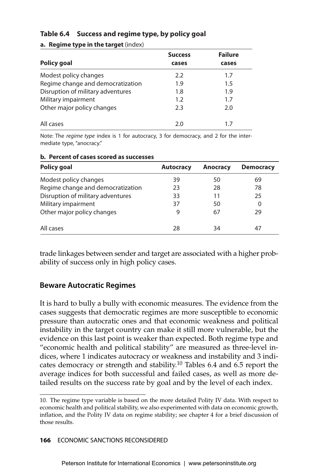| Policy goal                       | <b>Success</b><br>cases | <b>Failure</b><br>cases |
|-----------------------------------|-------------------------|-------------------------|
| Modest policy changes             | 2.2                     | 1.7                     |
| Regime change and democratization | 1.9                     | 1.5                     |
| Disruption of military adventures | 1.8                     | 1.9                     |
| Military impairment               | 1.2                     | 1.7                     |
| Other major policy changes        | 2.3                     | 2.0                     |
| All cases                         | 20                      | 17                      |

# **Table 6.4 Success and regime type, by policy goal**

### **a. Regime type in the target** (index)

Note: The *regime type* index is 1 for autocracy, 3 for democracy, and 2 for the intermediate type, "anocracy."

| <b>Policy goal</b>                | <b>Autocracy</b> | <b>Anocracy</b> | <b>Democracy</b> |
|-----------------------------------|------------------|-----------------|------------------|
| Modest policy changes             | 39               | 50              | 69               |
| Regime change and democratization | 23               | 28              | 78               |
| Disruption of military adventures | 33               | 11              | 25               |
| Military impairment               | 37               | 50              | 0                |
| Other major policy changes        |                  | 67              | 29               |
| All cases                         | 28               | 34              | 47               |

#### **b. Percent of cases scored as successes**

trade linkages between sender and target are associated with a higher probability of success only in high policy cases.

# **Beware Autocratic Regimes**

It is hard to bully a bully with economic measures. The evidence from the cases suggests that democratic regimes are more susceptible to economic pressure than autocratic ones and that economic weakness and political instability in the target country can make it still more vulnerable, but the evidence on this last point is weaker than expected. Both regime type and "economic health and political stability" are measured as three-level indices, where 1 indicates autocracy or weakness and instability and 3 indicates democracy or strength and stability.<sup>10</sup> Tables 6.4 and 6.5 report the average indices for both successful and failed cases, as well as more detailed results on the success rate by goal and by the level of each index.

<sup>10.</sup> The regime type variable is based on the more detailed Polity IV data. With respect to economic health and political stability, we also experimented with data on economic growth, inflation, and the Polity IV data on regime stability; see chapter 4 for a brief discussion of those results.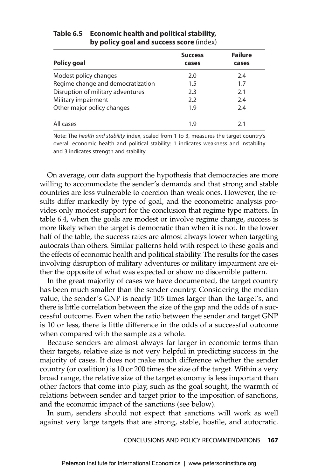|                                   | <b>Success</b> | <b>Failure</b> |
|-----------------------------------|----------------|----------------|
| Policy goal                       | cases          | cases          |
| Modest policy changes             | 2.0            | 2.4            |
| Regime change and democratization | 1.5            | 1.7            |
| Disruption of military adventures | 2.3            | 2.1            |
| Military impairment               | 2.2            | 2.4            |
| Other major policy changes        | 1.9            | 2.4            |
| All cases                         | 1 9            | 2.1            |

### **Table 6.5 Economic health and political stability, by policy goal and success score** (index)

Note: The *health and stability* index, scaled from 1 to 3, measures the target country's overall economic health and political stability: 1 indicates weakness and instability and 3 indicates strength and stability.

On average, our data support the hypothesis that democracies are more willing to accommodate the sender's demands and that strong and stable countries are less vulnerable to coercion than weak ones. However, the results differ markedly by type of goal, and the econometric analysis provides only modest support for the conclusion that regime type matters. In table 6.4, when the goals are modest or involve regime change, success is more likely when the target is democratic than when it is not. In the lower half of the table, the success rates are almost always lower when targeting autocrats than others. Similar patterns hold with respect to these goals and the effects of economic health and political stability. The results for the cases involving disruption of military adventures or military impairment are either the opposite of what was expected or show no discernible pattern.

In the great majority of cases we have documented, the target country has been much smaller than the sender country. Considering the median value, the sender's GNP is nearly 105 times larger than the target's, and there is little correlation between the size of the gap and the odds of a successful outcome. Even when the ratio between the sender and target GNP is 10 or less, there is little difference in the odds of a successful outcome when compared with the sample as a whole.

Because senders are almost always far larger in economic terms than their targets, relative size is not very helpful in predicting success in the majority of cases. It does not make much difference whether the sender country (or coalition) is 10 or 200 times the size of the target. Within a very broad range, the relative size of the target economy is less important than other factors that come into play, such as the goal sought, the warmth of relations between sender and target prior to the imposition of sanctions, and the economic impact of the sanctions (see below).

In sum, senders should not expect that sanctions will work as well against very large targets that are strong, stable, hostile, and autocratic.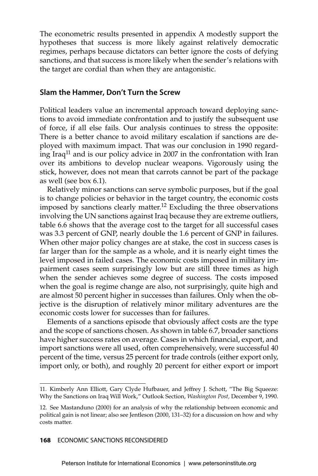The econometric results presented in appendix A modestly support the hypotheses that success is more likely against relatively democratic regimes, perhaps because dictators can better ignore the costs of defying sanctions, and that success is more likely when the sender's relations with the target are cordial than when they are antagonistic.

#### **Slam the Hammer, Don't Turn the Screw**

Political leaders value an incremental approach toward deploying sanctions to avoid immediate confrontation and to justify the subsequent use of force, if all else fails. Our analysis continues to stress the opposite: There is a better chance to avoid military escalation if sanctions are deployed with maximum impact. That was our conclusion in 1990 regarding Iraq<sup>11</sup> and is our policy advice in 2007 in the confrontation with Iran over its ambitions to develop nuclear weapons. Vigorously using the stick, however, does not mean that carrots cannot be part of the package as well (see box 6.1).

Relatively minor sanctions can serve symbolic purposes, but if the goal is to change policies or behavior in the target country, the economic costs imposed by sanctions clearly matter.<sup>12</sup> Excluding the three observations involving the UN sanctions against Iraq because they are extreme outliers, table 6.6 shows that the average cost to the target for all successful cases was 3.3 percent of GNP, nearly double the 1.6 percent of GNP in failures. When other major policy changes are at stake, the cost in success cases is far larger than for the sample as a whole, and it is nearly eight times the level imposed in failed cases. The economic costs imposed in military impairment cases seem surprisingly low but are still three times as high when the sender achieves some degree of success. The costs imposed when the goal is regime change are also, not surprisingly, quite high and are almost 50 percent higher in successes than failures. Only when the objective is the disruption of relatively minor military adventures are the economic costs lower for successes than for failures.

Elements of a sanctions episode that obviously affect costs are the type and the scope of sanctions chosen. As shown in table 6.7, broader sanctions have higher success rates on average. Cases in which financial, export, and import sanctions were all used, often comprehensively, were successful 40 percent of the time, versus 25 percent for trade controls (either export only, import only, or both), and roughly 20 percent for either export or import

<sup>11.</sup> Kimberly Ann Elliott, Gary Clyde Hufbauer, and Jeffrey J. Schott, "The Big Squeeze: Why the Sanctions on Iraq Will Work," Outlook Section, *Washington Post,* December 9, 1990.

<sup>12.</sup> See Mastanduno (2000) for an analysis of why the relationship between economic and political gain is not linear; also see Jentleson (2000, 131–32) for a discussion on how and why costs matter.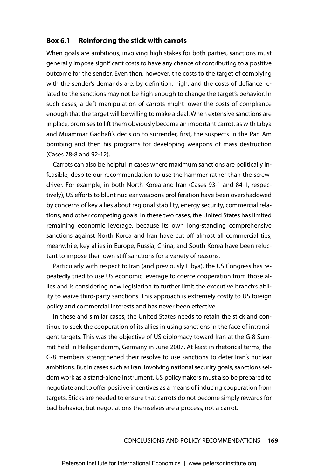#### **Box 6.1 Reinforcing the stick with carrots**

When goals are ambitious, involving high stakes for both parties, sanctions must generally impose significant costs to have any chance of contributing to a positive outcome for the sender. Even then, however, the costs to the target of complying with the sender's demands are, by definition, high, and the costs of defiance related to the sanctions may not be high enough to change the target's behavior. In such cases, a deft manipulation of carrots might lower the costs of compliance enough that the target will be willing to make a deal. When extensive sanctions are in place, promises to lift them obviously become an important carrot, as with Libya and Muammar Gadhafi's decision to surrender, first, the suspects in the Pan Am bombing and then his programs for developing weapons of mass destruction (Cases 78-8 and 92-12).

Carrots can also be helpful in cases where maximum sanctions are politically infeasible, despite our recommendation to use the hammer rather than the screwdriver. For example, in both North Korea and Iran (Cases 93-1 and 84-1, respectively), US efforts to blunt nuclear weapons proliferation have been overshadowed by concerns of key allies about regional stability, energy security, commercial relations, and other competing goals. In these two cases, the United States has limited remaining economic leverage, because its own long-standing comprehensive sanctions against North Korea and Iran have cut off almost all commercial ties; meanwhile, key allies in Europe, Russia, China, and South Korea have been reluctant to impose their own stiff sanctions for a variety of reasons.

Particularly with respect to Iran (and previously Libya), the US Congress has repeatedly tried to use US economic leverage to coerce cooperation from those allies and is considering new legislation to further limit the executive branch's ability to waive third-party sanctions. This approach is extremely costly to US foreign policy and commercial interests and has never been effective.

In these and similar cases, the United States needs to retain the stick and continue to seek the cooperation of its allies in using sanctions in the face of intransigent targets. This was the objective of US diplomacy toward Iran at the G-8 Summit held in Heiligendamm, Germany in June 2007. At least in rhetorical terms, the G-8 members strengthened their resolve to use sanctions to deter Iran's nuclear ambitions. But in cases such as Iran, involving national security goals, sanctions seldom work as a stand-alone instrument. US policymakers must also be prepared to negotiate and to offer positive incentives as a means of inducing cooperation from targets. Sticks are needed to ensure that carrots do not become simply rewards for bad behavior, but negotiations themselves are a process, not a carrot.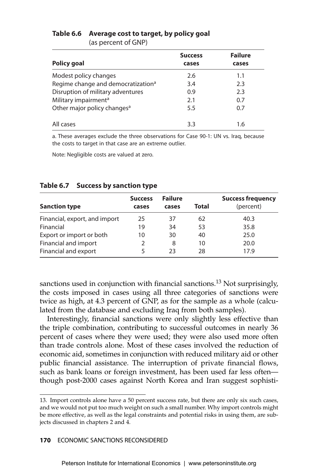| Table 6.6 Average cost to target, by policy goal |  |  |  |
|--------------------------------------------------|--|--|--|
|                                                  |  |  |  |

(as percent of GNP)

| Policy goal                                    | <b>Success</b><br>cases | <b>Failure</b><br>cases |
|------------------------------------------------|-------------------------|-------------------------|
| Modest policy changes                          | 2.6                     | 1.1                     |
| Regime change and democratization <sup>a</sup> | 3.4                     | 2.3                     |
| Disruption of military adventures              | 0.9                     | 2.3                     |
| Military impairment <sup>a</sup>               | 2.1                     | 0.7                     |
| Other major policy changes <sup>a</sup>        | 5.5                     | 0.7                     |
| All cases                                      | 3.3                     | 1.6                     |

a. These averages exclude the three observations for Case 90-1: UN vs. Iraq, because the costs to target in that case are an extreme outlier.

Note: Negligible costs are valued at zero.

| <b>Success</b><br>cases | <b>Failure</b><br>cases | <b>Total</b> | <b>Success frequency</b><br>(percent) |
|-------------------------|-------------------------|--------------|---------------------------------------|
| 25                      | 37                      | 62           | 40.3                                  |
| 19                      | 34                      | 53           | 35.8                                  |
| 10                      | 30                      | 40           | 25.0                                  |
| 2                       | 8                       | 10           | 20.0                                  |
| 5                       | つろ                      | 28           | 17.9                                  |
|                         |                         |              |                                       |

#### **Table 6.7 Success by sanction type**

sanctions used in conjunction with financial sanctions.<sup>13</sup> Not surprisingly, the costs imposed in cases using all three categories of sanctions were twice as high, at 4.3 percent of GNP, as for the sample as a whole (calculated from the database and excluding Iraq from both samples).

Interestingly, financial sanctions were only slightly less effective than the triple combination, contributing to successful outcomes in nearly 36 percent of cases where they were used; they were also used more often than trade controls alone. Most of these cases involved the reduction of economic aid, sometimes in conjunction with reduced military aid or other public financial assistance. The interruption of private financial flows, such as bank loans or foreign investment, has been used far less often though post-2000 cases against North Korea and Iran suggest sophisti-

<sup>13.</sup> Import controls alone have a 50 percent success rate, but there are only six such cases, and we would not put too much weight on such a small number. Why import controls might be more effective, as well as the legal constraints and potential risks in using them, are subjects discussed in chapters 2 and 4.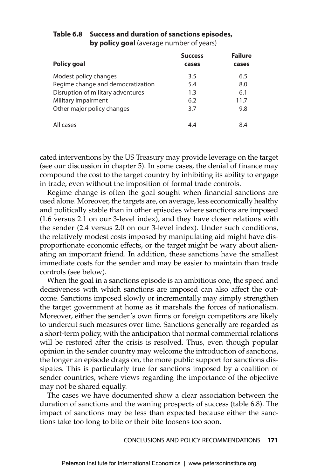| Policy goal                       | <b>Success</b><br>cases | <b>Failure</b><br>cases |
|-----------------------------------|-------------------------|-------------------------|
|                                   |                         |                         |
| Modest policy changes             | 3.5                     | 6.5                     |
| Regime change and democratization | 5.4                     | 8.0                     |
| Disruption of military adventures | 1.3                     | 6.1                     |
| Military impairment               | 6.2                     | 11.7                    |
| Other major policy changes        | 3.7                     | 9.8                     |
| All cases                         | 4.4                     | 8.4                     |

#### **Table 6.8 Success and duration of sanctions episodes, by policy goal** (average number of years)

cated interventions by the US Treasury may provide leverage on the target (see our discussion in chapter 5). In some cases, the denial of finance may compound the cost to the target country by inhibiting its ability to engage in trade, even without the imposition of formal trade controls.

Regime change is often the goal sought when financial sanctions are used alone. Moreover, the targets are, on average, less economically healthy and politically stable than in other episodes where sanctions are imposed (1.6 versus 2.1 on our 3-level index), and they have closer relations with the sender (2.4 versus 2.0 on our 3-level index). Under such conditions, the relatively modest costs imposed by manipulating aid might have disproportionate economic effects, or the target might be wary about alienating an important friend. In addition, these sanctions have the smallest immediate costs for the sender and may be easier to maintain than trade controls (see below).

When the goal in a sanctions episode is an ambitious one, the speed and decisiveness with which sanctions are imposed can also affect the outcome. Sanctions imposed slowly or incrementally may simply strengthen the target government at home as it marshals the forces of nationalism. Moreover, either the sender's own firms or foreign competitors are likely to undercut such measures over time. Sanctions generally are regarded as a short-term policy, with the anticipation that normal commercial relations will be restored after the crisis is resolved. Thus, even though popular opinion in the sender country may welcome the introduction of sanctions, the longer an episode drags on, the more public support for sanctions dissipates. This is particularly true for sanctions imposed by a coalition of sender countries, where views regarding the importance of the objective may not be shared equally.

The cases we have documented show a clear association between the duration of sanctions and the waning prospects of success (table 6.8). The impact of sanctions may be less than expected because either the sanctions take too long to bite or their bite loosens too soon.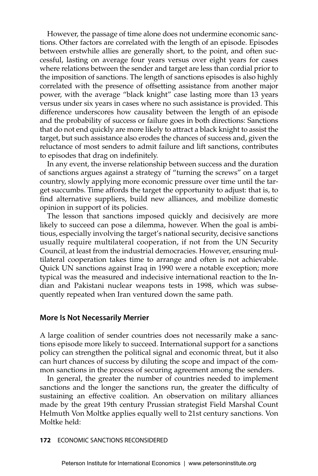However, the passage of time alone does not undermine economic sanctions. Other factors are correlated with the length of an episode. Episodes between erstwhile allies are generally short, to the point, and often successful, lasting on average four years versus over eight years for cases where relations between the sender and target are less than cordial prior to the imposition of sanctions. The length of sanctions episodes is also highly correlated with the presence of offsetting assistance from another major power, with the average "black knight" case lasting more than 13 years versus under six years in cases where no such assistance is provided. This difference underscores how causality between the length of an episode and the probability of success or failure goes in both directions: Sanctions that do not end quickly are more likely to attract a black knight to assist the target, but such assistance also erodes the chances of success and, given the reluctance of most senders to admit failure and lift sanctions, contributes to episodes that drag on indefinitely.

In any event, the inverse relationship between success and the duration of sanctions argues against a strategy of "turning the screws" on a target country, slowly applying more economic pressure over time until the target succumbs. Time affords the target the opportunity to adjust: that is, to find alternative suppliers, build new alliances, and mobilize domestic opinion in support of its policies.

The lesson that sanctions imposed quickly and decisively are more likely to succeed can pose a dilemma, however. When the goal is ambitious, especially involving the target's national security, decisive sanctions usually require multilateral cooperation, if not from the UN Security Council, at least from the industrial democracies. However, ensuring multilateral cooperation takes time to arrange and often is not achievable. Quick UN sanctions against Iraq in 1990 were a notable exception; more typical was the measured and indecisive international reaction to the Indian and Pakistani nuclear weapons tests in 1998, which was subsequently repeated when Iran ventured down the same path.

#### **More Is Not Necessarily Merrier**

A large coalition of sender countries does not necessarily make a sanctions episode more likely to succeed. International support for a sanctions policy can strengthen the political signal and economic threat, but it also can hurt chances of success by diluting the scope and impact of the common sanctions in the process of securing agreement among the senders.

In general, the greater the number of countries needed to implement sanctions and the longer the sanctions run, the greater the difficulty of sustaining an effective coalition. An observation on military alliances made by the great 19th century Prussian strategist Field Marshal Count Helmuth Von Moltke applies equally well to 21st century sanctions. Von Moltke held: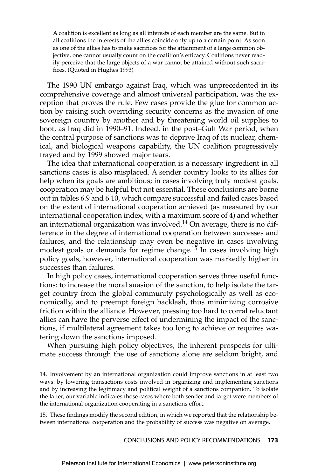A coalition is excellent as long as all interests of each member are the same. But in all coalitions the interests of the allies coincide only up to a certain point. As soon as one of the allies has to make sacrifices for the attainment of a large common objective, one cannot usually count on the coalition's efficacy. Coalitions never readily perceive that the large objects of a war cannot be attained without such sacrifices. (Quoted in Hughes 1993)

The 1990 UN embargo against Iraq, which was unprecedented in its comprehensive coverage and almost universal participation, was the exception that proves the rule. Few cases provide the glue for common action by raising such overriding security concerns as the invasion of one sovereign country by another and by threatening world oil supplies to boot, as Iraq did in 1990–91. Indeed, in the post–Gulf War period, when the central purpose of sanctions was to deprive Iraq of its nuclear, chemical, and biological weapons capability, the UN coalition progressively frayed and by 1999 showed major tears.

The idea that international cooperation is a necessary ingredient in all sanctions cases is also misplaced. A sender country looks to its allies for help when its goals are ambitious; in cases involving truly modest goals, cooperation may be helpful but not essential. These conclusions are borne out in tables 6.9 and 6.10, which compare successful and failed cases based on the extent of international cooperation achieved (as measured by our international cooperation index, with a maximum score of 4) and whether an international organization was involved.<sup>14</sup> On average, there is no difference in the degree of international cooperation between successes and failures, and the relationship may even be negative in cases involving modest goals or demands for regime change.<sup>15</sup> In cases involving high policy goals, however, international cooperation was markedly higher in successes than failures.

In high policy cases, international cooperation serves three useful functions: to increase the moral suasion of the sanction, to help isolate the target country from the global community psychologically as well as economically, and to preempt foreign backlash, thus minimizing corrosive friction within the alliance. However, pressing too hard to corral reluctant allies can have the perverse effect of undermining the impact of the sanctions, if multilateral agreement takes too long to achieve or requires watering down the sanctions imposed.

When pursuing high policy objectives, the inherent prospects for ultimate success through the use of sanctions alone are seldom bright, and

<sup>14.</sup> Involvement by an international organization could improve sanctions in at least two ways: by lowering transactions costs involved in organizing and implementing sanctions and by increasing the legitimacy and political weight of a sanctions companion. To isolate the latter, our variable indicates those cases where both sender and target were members of the international organization cooperating in a sanctions effort.

<sup>15.</sup> These findings modify the second edition, in which we reported that the relationship between international cooperation and the probability of success was negative on average.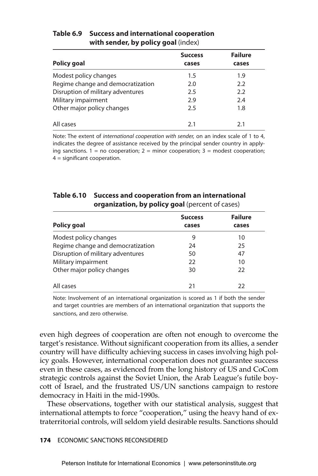| Policy goal                       | <b>Success</b><br>cases | <b>Failure</b><br>cases |
|-----------------------------------|-------------------------|-------------------------|
| Modest policy changes             | 1.5                     | 1.9                     |
| Regime change and democratization | 2.0                     | 2.2                     |
| Disruption of military adventures | 2.5                     | 2.2                     |
| Military impairment               | 2.9                     | 2.4                     |
| Other major policy changes        | 2.5                     | 1.8                     |
| All cases                         | 21                      | 2.1                     |

# **Table 6.9 Success and international cooperation with sender, by policy goal** (index)

Note: The extent of *international cooperation with sender,* on an index scale of 1 to 4, indicates the degree of assistance received by the principal sender country in applying sanctions.  $1 = no$  cooperation;  $2 = minor$  cooperation;  $3 = modest$  cooperation; 4 = significant cooperation.

# **Table 6.10 Success and cooperation from an international organization, by policy goal** (percent of cases)

| <b>Policy goal</b>                | <b>Success</b><br>cases | <b>Failure</b><br>cases |
|-----------------------------------|-------------------------|-------------------------|
| Modest policy changes             | 9                       | 10                      |
| Regime change and democratization | 24                      | 25                      |
| Disruption of military adventures | 50                      | 47                      |
| Military impairment               | 22                      | 10                      |
| Other major policy changes        | 30                      | 22                      |
| All cases                         | 21                      | 22                      |

Note: Involvement of an international organization is scored as 1 if both the sender and target countries are members of an international organization that supports the sanctions, and zero otherwise.

even high degrees of cooperation are often not enough to overcome the target's resistance. Without significant cooperation from its allies, a sender country will have difficulty achieving success in cases involving high policy goals. However, international cooperation does not guarantee success even in these cases, as evidenced from the long history of US and CoCom strategic controls against the Soviet Union, the Arab League's futile boycott of Israel, and the frustrated US/UN sanctions campaign to restore democracy in Haiti in the mid-1990s.

These observations, together with our statistical analysis, suggest that international attempts to force "cooperation," using the heavy hand of extraterritorial controls, will seldom yield desirable results. Sanctions should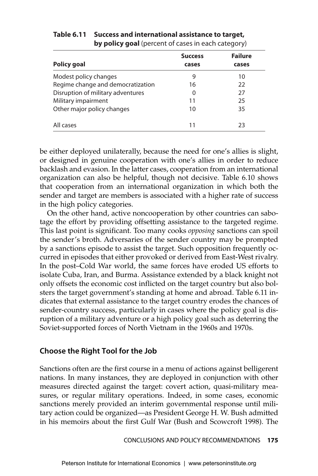| Policy goal                       | <b>Success</b><br>cases | <b>Failure</b><br>cases |
|-----------------------------------|-------------------------|-------------------------|
|                                   |                         |                         |
| Regime change and democratization | 16                      | 22                      |
| Disruption of military adventures | 0                       | 27                      |
| Military impairment               | 11                      | 25                      |
| Other major policy changes        | 10                      | 35                      |
| All cases                         | 11                      | 23                      |

### **Table 6.11 Success and international assistance to target, by policy goal** (percent of cases in each category)

be either deployed unilaterally, because the need for one's allies is slight, or designed in genuine cooperation with one's allies in order to reduce backlash and evasion. In the latter cases, cooperation from an international organization can also be helpful, though not decisive. Table 6.10 shows that cooperation from an international organization in which both the sender and target are members is associated with a higher rate of success in the high policy categories.

On the other hand, active noncooperation by other countries can sabotage the effort by providing offsetting assistance to the targeted regime. This last point is significant. Too many cooks *opposing* sanctions can spoil the sender's broth. Adversaries of the sender country may be prompted by a sanctions episode to assist the target. Such opposition frequently occurred in episodes that either provoked or derived from East-West rivalry. In the post–Cold War world, the same forces have eroded US efforts to isolate Cuba, Iran, and Burma. Assistance extended by a black knight not only offsets the economic cost inflicted on the target country but also bolsters the target government's standing at home and abroad. Table 6.11 indicates that external assistance to the target country erodes the chances of sender-country success, particularly in cases where the policy goal is disruption of a military adventure or a high policy goal such as deterring the Soviet-supported forces of North Vietnam in the 1960s and 1970s.

# **Choose the Right Tool for the Job**

Sanctions often are the first course in a menu of actions against belligerent nations. In many instances, they are deployed in conjunction with other measures directed against the target: covert action, quasi-military measures, or regular military operations. Indeed, in some cases, economic sanctions merely provided an interim governmental response until military action could be organized—as President George H. W. Bush admitted in his memoirs about the first Gulf War (Bush and Scowcroft 1998). The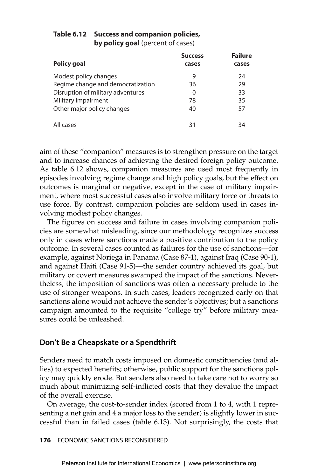| Policy goal                       | <b>Success</b><br>cases | <b>Failure</b><br>cases |
|-----------------------------------|-------------------------|-------------------------|
| Modest policy changes             | 9                       | 24                      |
| Regime change and democratization | 36                      | 29                      |
| Disruption of military adventures | 0                       | 33                      |
| Military impairment               | 78                      | 35                      |
| Other major policy changes        | 40                      | 57                      |
| All cases                         | 31                      | 34                      |

#### **Table 6.12 Success and companion policies, by policy goal** (percent of cases)

aim of these "companion" measures is to strengthen pressure on the target and to increase chances of achieving the desired foreign policy outcome. As table 6.12 shows, companion measures are used most frequently in episodes involving regime change and high policy goals, but the effect on outcomes is marginal or negative, except in the case of military impairment, where most successful cases also involve military force or threats to use force. By contrast, companion policies are seldom used in cases involving modest policy changes.

The figures on success and failure in cases involving companion policies are somewhat misleading, since our methodology recognizes success only in cases where sanctions made a positive contribution to the policy outcome. In several cases counted as failures for the use of sanctions—for example, against Noriega in Panama (Case 87-1), against Iraq (Case 90-1), and against Haiti (Case 91-5)—the sender country achieved its goal, but military or covert measures swamped the impact of the sanctions. Nevertheless, the imposition of sanctions was often a necessary prelude to the use of stronger weapons. In such cases, leaders recognized early on that sanctions alone would not achieve the sender's objectives; but a sanctions campaign amounted to the requisite "college try" before military measures could be unleashed.

# **Don't Be a Cheapskate or a Spendthrift**

Senders need to match costs imposed on domestic constituencies (and allies) to expected benefits; otherwise, public support for the sanctions policy may quickly erode. But senders also need to take care not to worry so much about minimizing self-inflicted costs that they devalue the impact of the overall exercise.

On average, the cost-to-sender index (scored from 1 to 4, with 1 representing a net gain and 4 a major loss to the sender) is slightly lower in successful than in failed cases (table 6.13). Not surprisingly, the costs that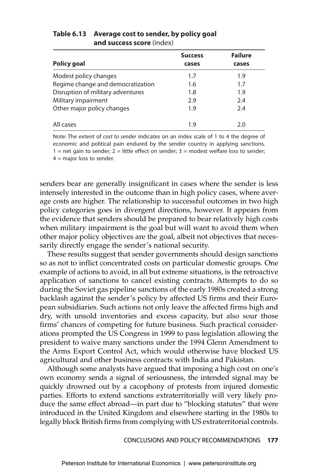| Policy goal                       | <b>Success</b><br>cases | <b>Failure</b><br>cases |
|-----------------------------------|-------------------------|-------------------------|
|                                   |                         |                         |
| Regime change and democratization | 1.6                     | 1.7                     |
| Disruption of military adventures | 1.8                     | 1.9                     |
| Military impairment               | 2.9                     | 2.4                     |
| Other major policy changes        | 1.9                     | 2.4                     |
| All cases                         | 19                      | 2 0                     |

#### **Table 6.13 Average cost to sender, by policy goal and success score** (index)

Note: The extent of *cost to sender* indicates on an index scale of 1 to 4 the degree of economic and political pain endured by the sender country in applying sanctions.  $1 = net gain to sender; 2 = little effect on sender; 3 = modest welfare loss to sender;$  $4 =$  major loss to sender.

senders bear are generally insignificant in cases where the sender is less intensely interested in the outcome than in high policy cases, where average costs are higher. The relationship to successful outcomes in two high policy categories goes in divergent directions, however. It appears from the evidence that senders should be prepared to bear relatively high costs when military impairment is the goal but will want to avoid them when other major policy objectives are the goal, albeit not objectives that necessarily directly engage the sender's national security.

These results suggest that sender governments should design sanctions so as not to inflict concentrated costs on particular domestic groups. One example of actions to avoid, in all but extreme situations, is the retroactive application of sanctions to cancel existing contracts. Attempts to do so during the Soviet gas pipeline sanctions of the early 1980s created a strong backlash against the sender's policy by affected US firms and their European subsidiaries. Such actions not only leave the affected firms high and dry, with unsold inventories and excess capacity, but also sour those firms' chances of competing for future business. Such practical considerations prompted the US Congress in 1999 to pass legislation allowing the president to waive many sanctions under the 1994 Glenn Amendment to the Arms Export Control Act, which would otherwise have blocked US agricultural and other business contracts with India and Pakistan.

Although some analysts have argued that imposing a high cost on one's own economy sends a signal of seriousness, the intended signal may be quickly drowned out by a cacophony of protests from injured domestic parties. Efforts to extend sanctions extraterritorially will very likely produce the same effect abroad—in part due to "blocking statutes" that were introduced in the United Kingdom and elsewhere starting in the 1980s to legally block British firms from complying with US extraterritorial controls.